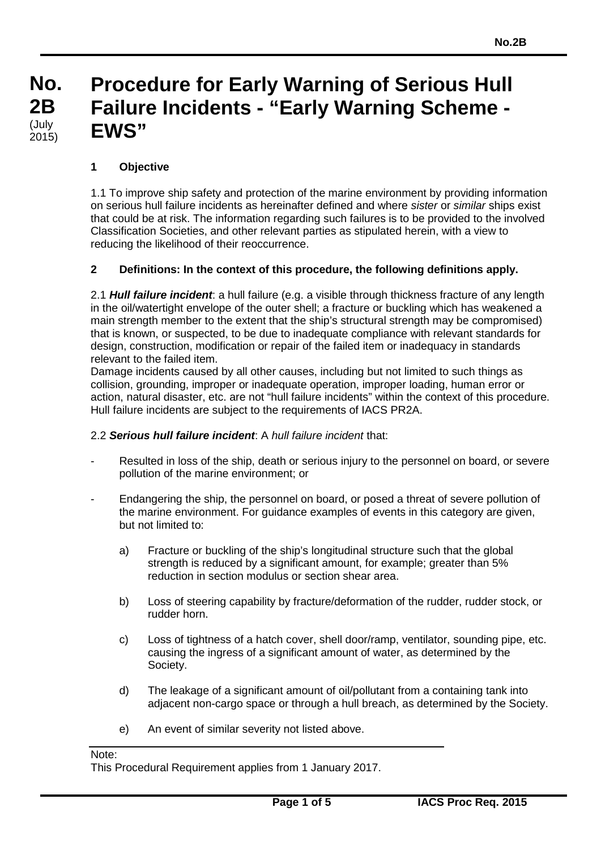#### **No. No. 2B 2B** (July<br>2015) **Procedure for Early Warning of Serious Hull Failure Incidents - "Early Warning Scheme - EWS"** (July

# **1 Objective**

1.1 To improve ship safety and protection of the marine environment by providing information on serious hull failure incidents as hereinafter defined and where *sister* or *similar* ships exist that could be at risk. The information regarding such failures is to be provided to the involved Classification Societies, and other relevant parties as stipulated herein, with a view to reducing the likelihood of their reoccurrence.

#### **2 Definitions: In the context of this procedure, the following definitions apply.**

2.1 *Hull failure incident*: a hull failure (e.g. a visible through thickness fracture of any length in the oil/watertight envelope of the outer shell; a fracture or buckling which has weakened a main strength member to the extent that the ship's structural strength may be compromised) that is known, or suspected, to be due to inadequate compliance with relevant standards for design, construction, modification or repair of the failed item or inadequacy in standards relevant to the failed item.

Damage incidents caused by all other causes, including but not limited to such things as collision, grounding, improper or inadequate operation, improper loading, human error or action, natural disaster, etc. are not "hull failure incidents" within the context of this procedure. Hull failure incidents are subject to the requirements of IACS PR2A.

#### 2.2 *Serious hull failure incident*: A *hull failure incident* that:

- Resulted in loss of the ship, death or serious injury to the personnel on board, or severe pollution of the marine environment; or
- Endangering the ship, the personnel on board, or posed a threat of severe pollution of the marine environment. For guidance examples of events in this category are given, but not limited to:
	- a) Fracture or buckling of the ship's longitudinal structure such that the global strength is reduced by a significant amount, for example; greater than 5% reduction in section modulus or section shear area.
	- b) Loss of steering capability by fracture/deformation of the rudder, rudder stock, or rudder horn.
	- c) Loss of tightness of a hatch cover, shell door/ramp, ventilator, sounding pipe, etc. causing the ingress of a significant amount of water, as determined by the Society.
	- d) The leakage of a significant amount of oil/pollutant from a containing tank into adjacent non-cargo space or through a hull breach, as determined by the Society.
	- e) An event of similar severity not listed above.

Note:

This Procedural Requirement applies from 1 January 2017.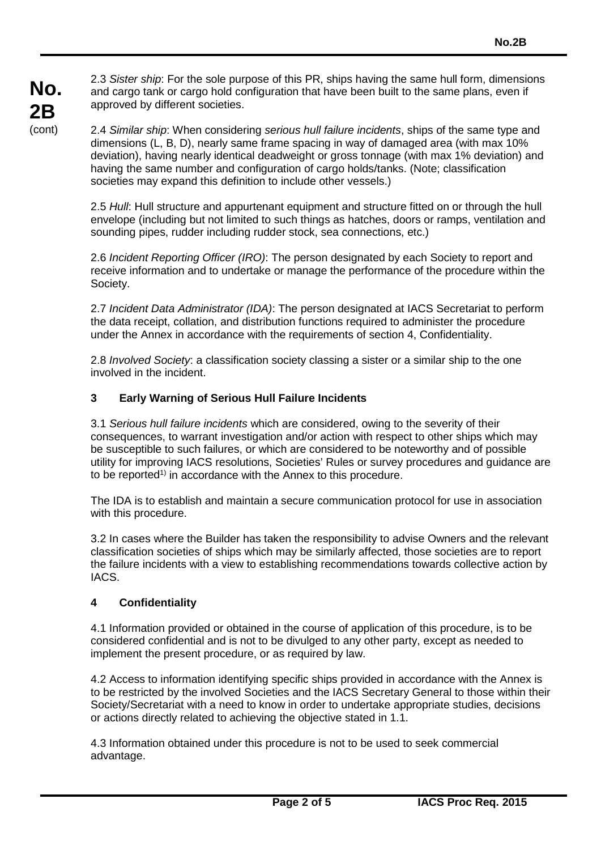2.3 *Sister ship*: For the sole purpose of this PR, ships having the same hull form, dimensions and cargo tank or cargo hold configuration that have been built to the same plans, even if approved by different societies.

2.4 *Similar ship*: When considering *serious hull failure incidents*, ships of the same type and dimensions (L, B, D), nearly same frame spacing in way of damaged area (with max 10% deviation), having nearly identical deadweight or gross tonnage (with max 1% deviation) and having the same number and configuration of cargo holds/tanks. (Note; classification societies may expand this definition to include other vessels.)

2.5 *Hull*: Hull structure and appurtenant equipment and structure fitted on or through the hull envelope (including but not limited to such things as hatches, doors or ramps, ventilation and sounding pipes, rudder including rudder stock, sea connections, etc.)

2.6 *Incident Reporting Officer (IRO)*: The person designated by each Society to report and receive information and to undertake or manage the performance of the procedure within the Society.

2.7 *Incident Data Administrator (IDA)*: The person designated at IACS Secretariat to perform the data receipt, collation, and distribution functions required to administer the procedure under the Annex in accordance with the requirements of section 4, Confidentiality.

2.8 *Involved Society*: a classification society classing a sister or a similar ship to the one involved in the incident.

# **3 Early Warning of Serious Hull Failure Incidents**

3.1 *Serious hull failure incidents* which are considered, owing to the severity of their consequences, to warrant investigation and/or action with respect to other ships which may be susceptible to such failures, or which are considered to be noteworthy and of possible utility for improving IACS resolutions, Societies' Rules or survey procedures and guidance are to be reported<sup>1)</sup> in accordance with the Annex to this procedure.

The IDA is to establish and maintain a secure communication protocol for use in association with this procedure.

3.2 In cases where the Builder has taken the responsibility to advise Owners and the relevant classification societies of ships which may be similarly affected, those societies are to report the failure incidents with a view to establishing recommendations towards collective action by IACS.

#### **4 Confidentiality**

4.1 Information provided or obtained in the course of application of this procedure, is to be considered confidential and is not to be divulged to any other party, except as needed to implement the present procedure, or as required by law.

4.2 Access to information identifying specific ships provided in accordance with the Annex is to be restricted by the involved Societies and the IACS Secretary General to those within their Society/Secretariat with a need to know in order to undertake appropriate studies, decisions or actions directly related to achieving the objective stated in 1.1.

4.3 Information obtained under this procedure is not to be used to seek commercial advantage.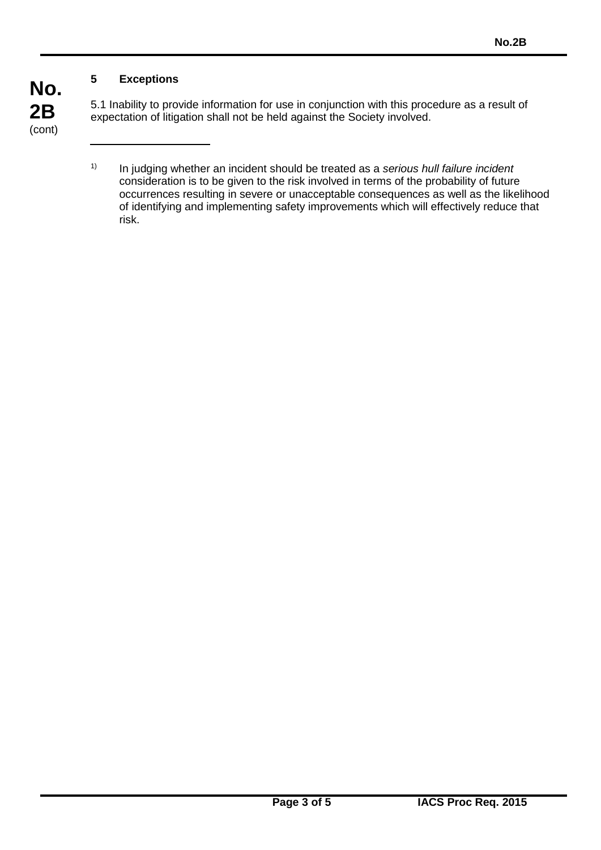# **5 Exceptions**

5.1 Inability to provide information for use in conjunction with this procedure as a result of expectation of litigation shall not be held against the Society involved.

<sup>1)</sup> In judging whether an incident should be treated as a *serious hull failure incident* consideration is to be given to the risk involved in terms of the probability of future occurrences resulting in severe or unacceptable consequences as well as the likelihood of identifying and implementing safety improvements which will effectively reduce that risk.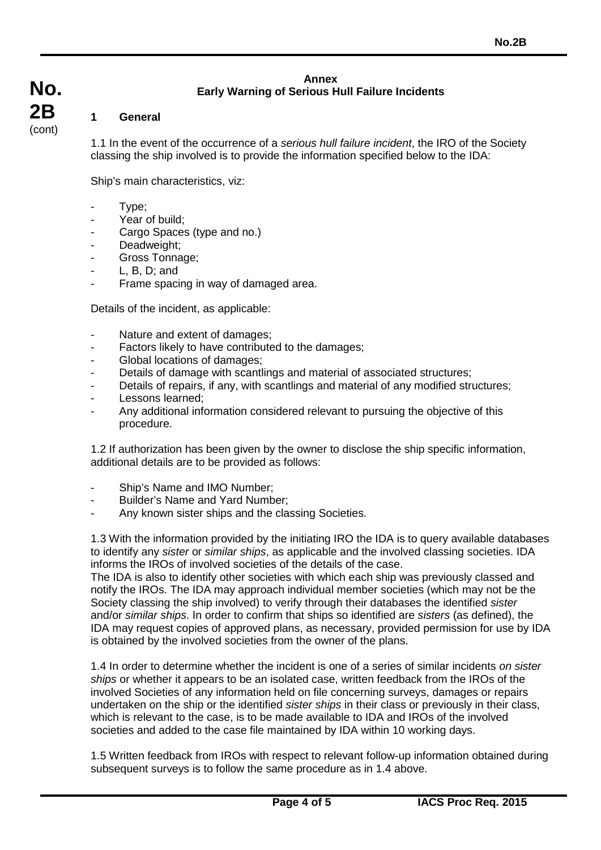#### **Annex Early Warning of Serious Hull Failure Incidents**

#### **1 General**

1.1 In the event of the occurrence of a *serious hull failure incident*, the IRO of the Society classing the ship involved is to provide the information specified below to the IDA:

Ship's main characteristics, viz:

- Type:
- Year of build;
- Cargo Spaces (type and no.)
- Deadweight;
- Gross Tonnage;
- $L, B, D;$  and
- Frame spacing in way of damaged area.

Details of the incident, as applicable:

- Nature and extent of damages;
- Factors likely to have contributed to the damages;
- Global locations of damages;
- Details of damage with scantlings and material of associated structures;
- Details of repairs, if any, with scantlings and material of any modified structures;
- Lessons learned;
- Any additional information considered relevant to pursuing the objective of this procedure.

1.2 If authorization has been given by the owner to disclose the ship specific information, additional details are to be provided as follows:

- Ship's Name and IMO Number:
- Builder's Name and Yard Number;
- Any known sister ships and the classing Societies.

1.3 With the information provided by the initiating IRO the IDA is to query available databases to identify any *sister* or *similar ships*, as applicable and the involved classing societies. IDA informs the IROs of involved societies of the details of the case.

The IDA is also to identify other societies with which each ship was previously classed and notify the IROs. The IDA may approach individual member societies (which may not be the Society classing the ship involved) to verify through their databases the identified *sister*  and/or *similar ships*. In order to confirm that ships so identified are *sisters* (as defined), the IDA may request copies of approved plans, as necessary, provided permission for use by IDA is obtained by the involved societies from the owner of the plans.

1.4 In order to determine whether the incident is one of a series of similar incidents *on sister ships* or whether it appears to be an isolated case, written feedback from the IROs of the involved Societies of any information held on file concerning surveys, damages or repairs undertaken on the ship or the identified *sister ships* in their class or previously in their class, which is relevant to the case, is to be made available to IDA and IROs of the involved societies and added to the case file maintained by IDA within 10 working days.

1.5 Written feedback from IROs with respect to relevant follow-up information obtained during subsequent surveys is to follow the same procedure as in 1.4 above.